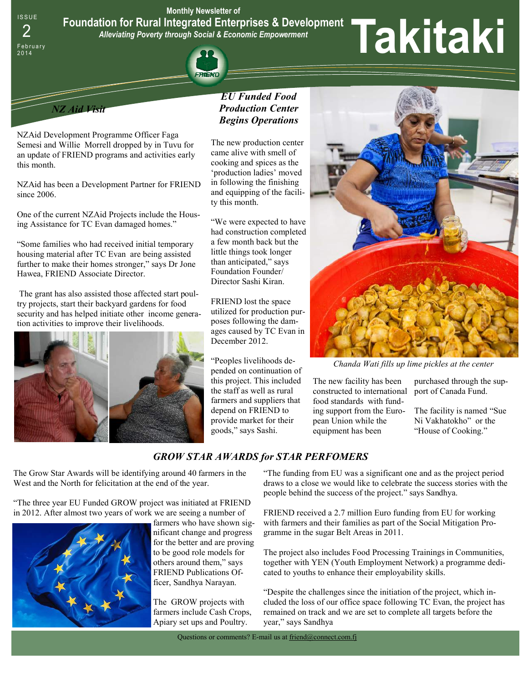**Monthly Newsletter of** 

**Foundation for Rural Integrated Enterprises & Development** 

*Alleviating Poverty through Social & Economic Empowerment* 



**ISSUE** 

# Foundation for Rural Integrated Enterprises & Development<br>2<br> **Express Addeviating Poverty through Social & Economic Empowerment**<br> **Experiment**<br> **Experiment**<br> **Experiment**<br> **Experiment**<br> **Experiment**<br> **Experiment**<br> **Experim**



NZAid Development Programme Officer Faga Semesi and Willie Morrell dropped by in Tuvu for an update of FRIEND programs and activities early this month.

NZAid has been a Development Partner for FRIEND since 2006.

One of the current NZAid Projects include the Housing Assistance for TC Evan damaged homes."

"Some families who had received initial temporary housing material after TC Evan are being assisted further to make their homes stronger," says Dr Jone Hawea, FRIEND Associate Director.

 The grant has also assisted those affected start poultry projects, start their backyard gardens for food security and has helped initiate other income generation activities to improve their livelihoods.



# *EU Funded Food Production Center Begins Operations*

The new production center came alive with smell of cooking and spices as the 'production ladies' moved in following the finishing and equipping of the facility this month.

"We were expected to have had construction completed a few month back but the little things took longer than anticipated," says Foundation Founder/ Director Sashi Kiran.

FRIEND lost the space utilized for production purposes following the damages caused by TC Evan in December 2012.

"Peoples livelihoods depended on continuation of this project. This included the staff as well as rural farmers and suppliers that depend on FRIEND to provide market for their goods," says Sashi.



*Chanda Wati fills up lime pickles at the center* 

The new facility has been constructed to international food standards with funding support from the European Union while the equipment has been

purchased through the support of Canada Fund.

The facility is named "Sue Ni Vakhatokho" or the "House of Cooking."

# *GROW STAR AWARDS for STAR PERFOMERS*

The Grow Star Awards will be identifying around 40 farmers in the West and the North for felicitation at the end of the year.

"The three year EU Funded GROW project was initiated at FRIEND in 2012. After almost two years of work we are seeing a number of



farmers who have shown significant change and progress for the better and are proving to be good role models for others around them," says FRIEND Publications Officer, Sandhya Narayan.

The GROW projects with farmers include Cash Crops, Apiary set ups and Poultry.

"The funding from EU was a significant one and as the project period draws to a close we would like to celebrate the success stories with the people behind the success of the project." says Sandhya.

FRIEND received a 2.7 million Euro funding from EU for working with farmers and their families as part of the Social Mitigation Programme in the sugar Belt Areas in 2011.

The project also includes Food Processing Trainings in Communities, together with YEN (Youth Employment Network) a programme dedicated to youths to enhance their employability skills.

"Despite the challenges since the initiation of the project, which included the loss of our office space following TC Evan, the project has remained on track and we are set to complete all targets before the year," says Sandhya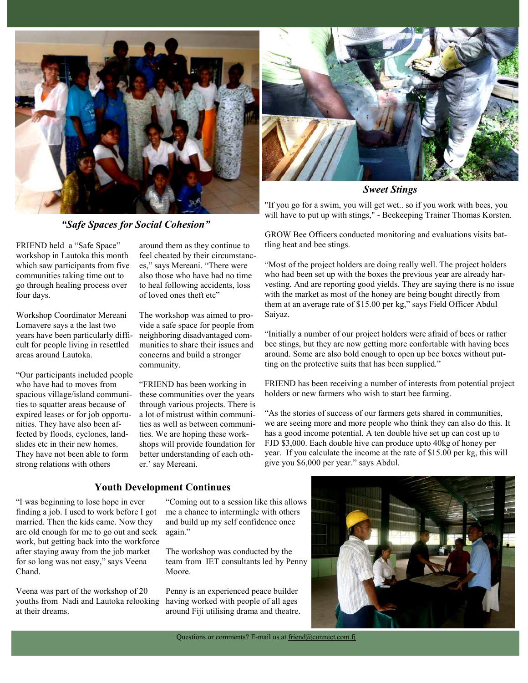

*"Safe Spaces for Social Cohesion"* 

FRIEND held a "Safe Space" workshop in Lautoka this month which saw participants from five communities taking time out to go through healing process over four days.

Workshop Coordinator Mereani Lomavere says a the last two years have been particularly difficult for people living in resettled areas around Lautoka.

"Our participants included people who have had to moves from spacious village/island communities to squatter areas because of expired leases or for job opportunities. They have also been affected by floods, cyclones, landslides etc in their new homes. They have not been able to form strong relations with others

around them as they continue to feel cheated by their circumstances," says Mereani. "There were also those who have had no time to heal following accidents, loss of loved ones theft etc"

The workshop was aimed to provide a safe space for people from neighboring disadvantaged communities to share their issues and concerns and build a stronger community.

"FRIEND has been working in these communities over the years through various projects. There is a lot of mistrust within communities as well as between communities. We are hoping these workshops will provide foundation for better understanding of each other.' say Mereani.



*Sweet Stings* 

"If you go for a swim, you will get wet.. so if you work with bees, you will have to put up with stings," - Beekeeping Trainer Thomas Korsten.

GROW Bee Officers conducted monitoring and evaluations visits battling heat and bee stings.

"Most of the project holders are doing really well. The project holders who had been set up with the boxes the previous year are already harvesting. And are reporting good yields. They are saying there is no issue with the market as most of the honey are being bought directly from them at an average rate of \$15.00 per kg," says Field Officer Abdul Saiyaz.

"Initially a number of our project holders were afraid of bees or rather bee stings, but they are now getting more confortable with having bees around. Some are also bold enough to open up bee boxes without putting on the protective suits that has been supplied."

FRIEND has been receiving a number of interests from potential project holders or new farmers who wish to start bee farming.

"As the stories of success of our farmers gets shared in communities, we are seeing more and more people who think they can also do this. It has a good income potential. A ten double hive set up can cost up to FJD \$3,000. Each double hive can produce upto 40kg of honey per year. If you calculate the income at the rate of \$15.00 per kg, this will give you \$6,000 per year." says Abdul.

# **Youth Development Continues**

"I was beginning to lose hope in ever finding a job. I used to work before I got married. Then the kids came. Now they are old enough for me to go out and seek work, but getting back into the workforce after staying away from the job market for so long was not easy," says Veena Chand.

Veena was part of the workshop of 20 youths from Nadi and Lautoka relooking at their dreams.

"Coming out to a session like this allows me a chance to intermingle with others and build up my self confidence once again."

The workshop was conducted by the team from IET consultants led by Penny Moore.

Penny is an experienced peace builder having worked with people of all ages around Fiji utilising drama and theatre.



Questions or comments? E-mail us at friend@connect.com.fj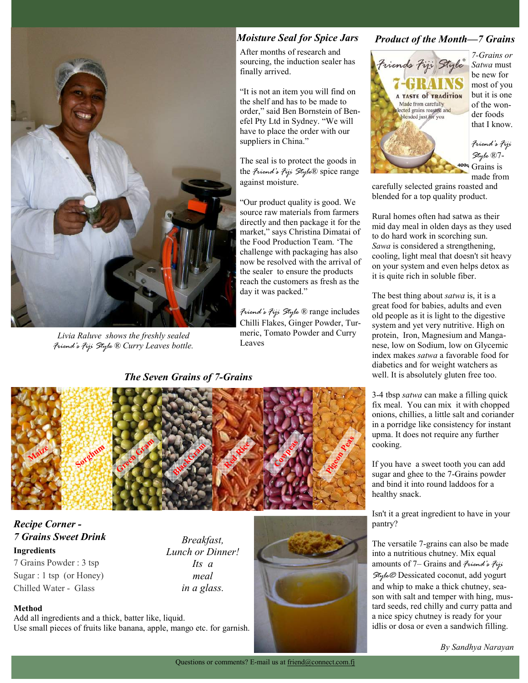

*Livia Raluve shows the freshly sealed Friend's Fiji Style ® Curry Leaves bottle.* 

### *Moisture Seal for Spice Jars*

After months of research and sourcing, the induction sealer has finally arrived.

"It is not an item you will find on the shelf and has to be made to order," said Ben Bornstein of Benefel Pty Ltd in Sydney. "We will have to place the order with our suppliers in China."

The seal is to protect the goods in the *Friend's Fiji Style*® spice range against moisture.

"Our product quality is good. We source raw materials from farmers directly and then package it for the market," says Christina Dimatai of the Food Production Team. 'The challenge with packaging has also now be resolved with the arrival of the sealer to ensure the products reach the customers as fresh as the day it was packed."

*Friend's Fiji Style ®* range includes Chilli Flakes, Ginger Powder, Turmeric, Tomato Powder and Curry Leaves

## *The Seven Grains of 7-Grains*





*7-Grains or Satwa* must be new for most of you but it is one of the wonder foods that I know.

*Friend's Fiji Style* ®7-  $1009$  Grains is made from

carefully selected grains roasted and blended for a top quality product.

Rural homes often had satwa as their mid day meal in olden days as they used to do hard work in scorching sun. *Sawa* is considered a strengthening, cooling, light meal that doesn't sit heavy on your system and even helps detox as it is quite rich in soluble fiber.

The best thing about *satwa* is, it is a great food for babies, adults and even old people as it is light to the digestive system and yet very nutritive. High on protein, Iron, Magnesium and Manganese, low on Sodium, low on Glycemic index makes *satwa* a favorable food for diabetics and for weight watchers as well. It is absolutely gluten free too.

3-4 tbsp *satwa* can make a filling quick fix meal. You can mix it with chopped onions, chillies, a little salt and coriander in a porridge like consistency for instant upma. It does not require any further cooking.

If you have a sweet tooth you can add sugar and ghee to the 7-Grains powder and bind it into round laddoos for a healthy snack.

Isn't it a great ingredient to have in your pantry?

The versatile 7-grains can also be made into a nutritious chutney. Mix equal amounts of 7– Grains and *Friend's Fiji Style®* Dessicated coconut, add yogurt and whip to make a thick chutney, season with salt and temper with hing, mustard seeds, red chilly and curry patta and a nice spicy chutney is ready for your idlis or dosa or even a sandwich filling.



# *Recipe Corner - 7 Grains Sweet Drink*

**Ingredients**  7 Grains Powder : 3 tsp Sugar : 1 tsp (or Honey) Chilled Water - Glass

*Breakfast, Lunch or Dinner! Its a meal in a glass.* 



Add all ingredients and a thick, batter like, liquid. Use small pieces of fruits like banana, apple, mango etc. for garnish.